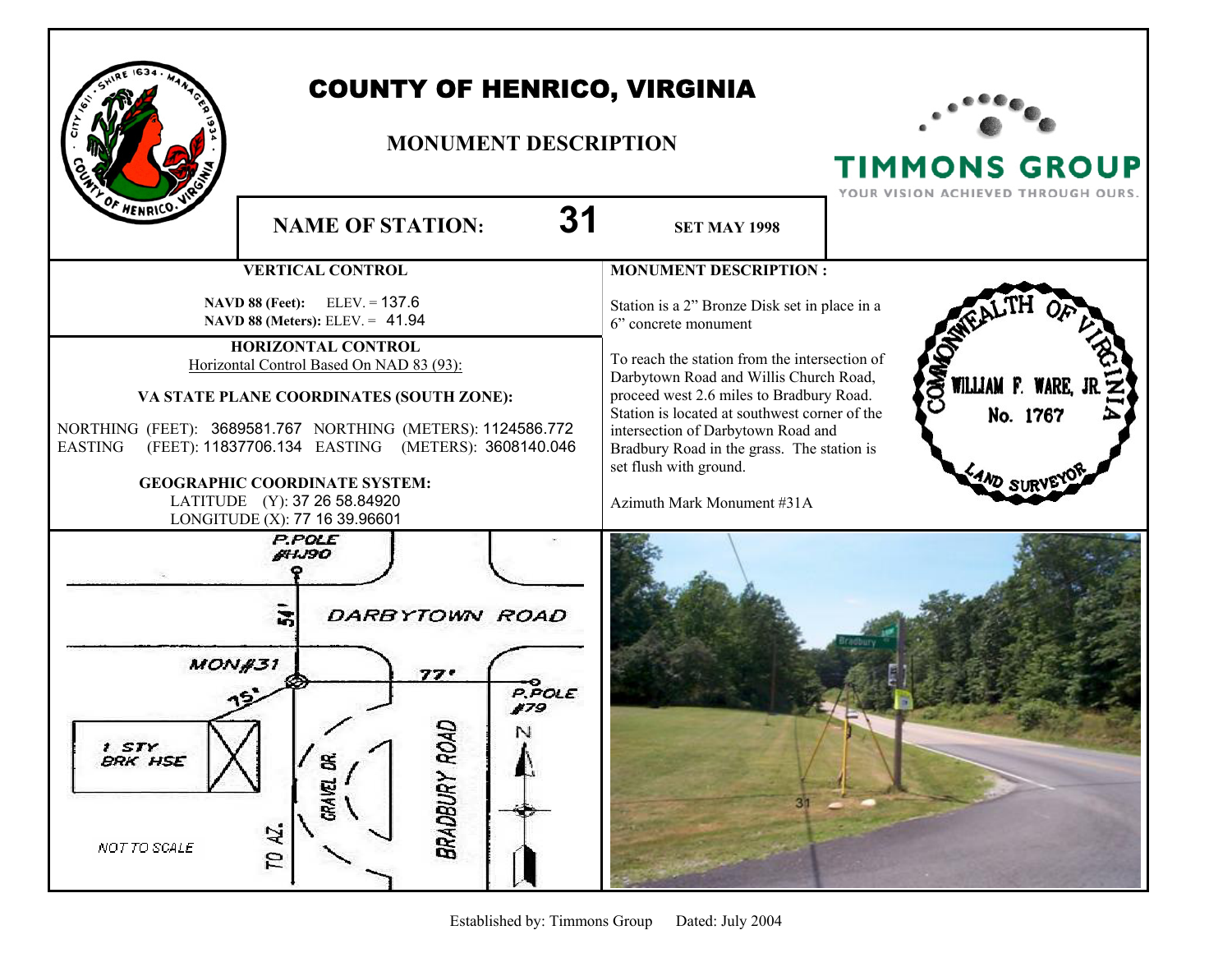|                                                                                                                                                                                                                                                                                                                                      | <b>COUNTY OF HENRICO, VIRGINIA</b><br><b>MONUMENT DESCRIPTION</b>                                                      |                                                                                                                                                                                                                                                                                 | <b>TIMMONS GROUP</b><br>YOUR VISION ACHIEVED THROUGH OURS. |
|--------------------------------------------------------------------------------------------------------------------------------------------------------------------------------------------------------------------------------------------------------------------------------------------------------------------------------------|------------------------------------------------------------------------------------------------------------------------|---------------------------------------------------------------------------------------------------------------------------------------------------------------------------------------------------------------------------------------------------------------------------------|------------------------------------------------------------|
| OF HENRICO.                                                                                                                                                                                                                                                                                                                          | <b>NAME OF STATION:</b>                                                                                                | 31<br><b>SET MAY 1998</b>                                                                                                                                                                                                                                                       |                                                            |
|                                                                                                                                                                                                                                                                                                                                      | <b>VERTICAL CONTROL</b>                                                                                                | <b>MONUMENT DESCRIPTION:</b>                                                                                                                                                                                                                                                    |                                                            |
|                                                                                                                                                                                                                                                                                                                                      | <b>NAVD 88 (Feet):</b> ELEV. = $137.6$<br>NAVD 88 (Meters): ELEV. = 41.94                                              | Station is a 2" Bronze Disk set in place in a<br>6" concrete monument                                                                                                                                                                                                           |                                                            |
|                                                                                                                                                                                                                                                                                                                                      | HORIZONTAL CONTROL                                                                                                     | To reach the station from the intersection of                                                                                                                                                                                                                                   |                                                            |
| Horizontal Control Based On NAD 83 (93):<br>VA STATE PLANE COORDINATES (SOUTH ZONE):<br>NORTHING (FEET): 3689581.767 NORTHING (METERS): 1124586.772<br>(FEET): 11837706.134 EASTING (METERS): 3608140.046<br><b>EASTING</b><br><b>GEOGRAPHIC COORDINATE SYSTEM:</b><br>LATITUDE (Y): 37 26 58.84920<br>LONGITUDE (X): 77 16 39.96601 |                                                                                                                        | Darbytown Road and Willis Church Road,<br>proceed west 2.6 miles to Bradbury Road.<br>Station is located at southwest corner of the<br>intersection of Darbytown Road and<br>Bradbury Road in the grass. The station is<br>set flush with ground.<br>Azimuth Mark Monument #31A | OWN<br>WILLIAM F. WARE, JR.<br>No. 1767<br><b>AND SURV</b> |
| MONH31<br>I STY<br>BRK HSE<br>NOT TO SCALE                                                                                                                                                                                                                                                                                           | <b>P.POLE</b><br><b>FHJ90</b><br>DARBYTOWN ROAD<br>77 <sup>°</sup><br>N<br>BRADBURY RO.<br><b>GRAVEL DR.</b><br>TO AZ. | <b>P.POLE</b><br>#79                                                                                                                                                                                                                                                            |                                                            |